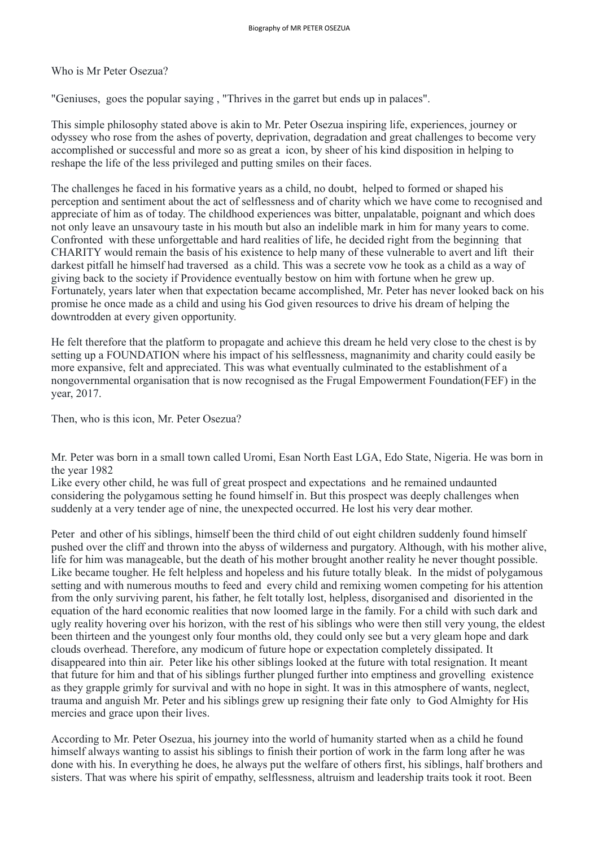Who is Mr Peter Osezua?

"Geniuses, goes the popular saying , "Thrives in the garret but ends up in palaces".

This simple philosophy stated above is akin to Mr. Peter Osezua inspiring life, experiences, journey or odyssey who rose from the ashes of poverty, deprivation, degradation and great challenges to become very accomplished or successful and more so as great a icon, by sheer of his kind disposition in helping to reshape the life of the less privileged and putting smiles on their faces.

The challenges he faced in his formative years as a child, no doubt, helped to formed or shaped his perception and sentiment about the act of selflessness and of charity which we have come to recognised and appreciate of him as of today. The childhood experiences was bitter, unpalatable, poignant and which does not only leave an unsavoury taste in his mouth but also an indelible mark in him for many years to come. Confronted with these unforgettable and hard realities of life, he decided right from the beginning that CHARITY would remain the basis of his existence to help many of these vulnerable to avert and lift their darkest pitfall he himself had traversed as a child. This was a secrete vow he took as a child as a way of giving back to the society if Providence eventually bestow on him with fortune when he grew up. Fortunately, years later when that expectation became accomplished, Mr. Peter has never looked back on his promise he once made as a child and using his God given resources to drive his dream of helping the downtrodden at every given opportunity.

He felt therefore that the platform to propagate and achieve this dream he held very close to the chest is by setting up a FOUNDATION where his impact of his selflessness, magnanimity and charity could easily be more expansive, felt and appreciated. This was what eventually culminated to the establishment of a nongovernmental organisation that is now recognised as the Frugal Empowerment Foundation(FEF) in the year, 2017.

Then, who is this icon, Mr. Peter Osezua?

Mr. Peter was born in a small town called Uromi, Esan North East LGA, Edo State, Nigeria. He was born in the year 1982 Like every other child, he was full of great prospect and expectations and he remained undaunted

considering the polygamous setting he found himself in. But this prospect was deeply challenges when suddenly at a very tender age of nine, the unexpected occurred. He lost his very dear mother.

Peter and other of his siblings, himself been the third child of out eight children suddenly found himself pushed over the cliff and thrown into the abyss of wilderness and purgatory. Although, with his mother alive, life for him was manageable, but the death of his mother brought another reality he never thought possible. Like became tougher. He felt helpless and hopeless and his future totally bleak. In the midst of polygamous setting and with numerous mouths to feed and every child and remixing women competing for his attention from the only surviving parent, his father, he felt totally lost, helpless, disorganised and disoriented in the equation of the hard economic realities that now loomed large in the family. For a child with such dark and ugly reality hovering over his horizon, with the rest of his siblings who were then still very young, the eldest been thirteen and the youngest only four months old, they could only see but a very gleam hope and dark clouds overhead. Therefore, any modicum of future hope or expectation completely dissipated. It disappeared into thin air. Peter like his other siblings looked at the future with total resignation. It meant that future for him and that of his siblings further plunged further into emptiness and grovelling existence as they grapple grimly for survival and with no hope in sight. It was in this atmosphere of wants, neglect, trauma and anguish Mr. Peter and his siblings grew up resigning their fate only to God Almighty for His mercies and grace upon their lives.

According to Mr. Peter Osezua, his journey into the world of humanity started when as a child he found himself always wanting to assist his siblings to finish their portion of work in the farm long after he was done with his. In everything he does, he always put the welfare of others first, his siblings, half brothers and sisters. That was where his spirit of empathy, selflessness, altruism and leadership traits took it root. Been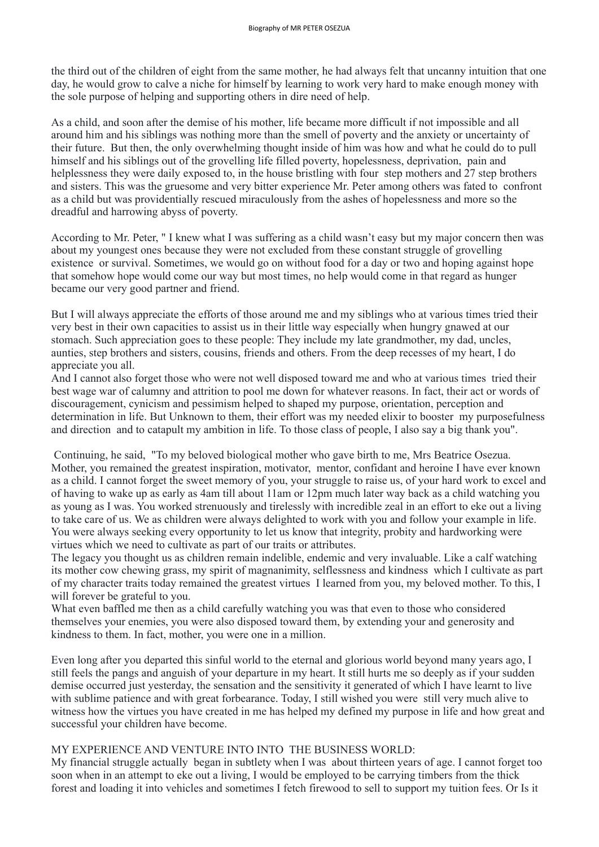the third out of the children of eight from the same mother, he had always felt that uncanny intuition that one day, he would grow to calve a niche for himself by learning to work very hard to make enough money with the sole purpose of helping and supporting others in dire need of help.

As a child, and soon after the demise of his mother, life became more difficult if not impossible and all around him and his siblings was nothing more than the smell of poverty and the anxiety or uncertainty of their future. But then, the only overwhelming thought inside of him was how and what he could do to pull himself and his siblings out of the grovelling life filled poverty, hopelessness, deprivation, pain and helplessness they were daily exposed to, in the house bristling with four step mothers and 27 step brothers and sisters. This was the gruesome and very bitter experience Mr. Peter among others was fated to confront as a child but was providentially rescued miraculously from the ashes of hopelessness and more so the dreadful and harrowing abyss of poverty.

According to Mr. Peter, " I knew what I was suffering as a child wasn't easy but my major concern then was about my youngest ones because they were not excluded from these constant struggle of grovelling existence or survival. Sometimes, we would go on without food for a day or two and hoping against hope that somehow hope would come our way but most times, no help would come in that regard as hunger became our very good partner and friend.

But I will always appreciate the efforts of those around me and my siblings who at various times tried their very best in their own capacities to assist us in their little way especially when hungry gnawed at our stomach. Such appreciation goes to these people: They include my late grandmother, my dad, uncles, aunties, step brothers and sisters, cousins, friends and others. From the deep recesses of my heart, I do appreciate you all.

And I cannot also forget those who were not well disposed toward me and who at various times tried their best wage war of calumny and attrition to pool me down for whatever reasons. In fact, their act or words of discouragement, cynicism and pessimism helped to shaped my purpose, orientation, perception and determination in life. But Unknown to them, their effort was my needed elixir to booster my purposefulness and direction and to catapult my ambition in life. To those class of people, I also say a big thank you".

 Continuing, he said, "To my beloved biological mother who gave birth to me, Mrs Beatrice Osezua. Mother, you remained the greatest inspiration, motivator, mentor, confidant and heroine I have ever known as a child. I cannot forget the sweet memory of you, your struggle to raise us, of your hard work to excel and of having to wake up as early as 4am till about 11am or 12pm much later way back as a child watching you as young as I was. You worked strenuously and tirelessly with incredible zeal in an effort to eke out a living to take care of us. We as children were always delighted to work with you and follow your example in life. You were always seeking every opportunity to let us know that integrity, probity and hardworking were virtues which we need to cultivate as part of our traits or attributes.

The legacy you thought us as children remain indelible, endemic and very invaluable. Like a calf watching its mother cow chewing grass, my spirit of magnanimity, selflessness and kindness which I cultivate as part of my character traits today remained the greatest virtues I learned from you, my beloved mother. To this, I will forever be grateful to you.

What even baffled me then as a child carefully watching you was that even to those who considered themselves your enemies, you were also disposed toward them, by extending your and generosity and kindness to them. In fact, mother, you were one in a million.

Even long after you departed this sinful world to the eternal and glorious world beyond many years ago, I still feels the pangs and anguish of your departure in my heart. It still hurts me so deeply as if your sudden demise occurred just yesterday, the sensation and the sensitivity it generated of which I have learnt to live with sublime patience and with great forbearance. Today, I still wished you were still very much alive to witness how the virtues you have created in me has helped my defined my purpose in life and how great and successful your children have become.

### MY EXPERIENCE AND VENTURE INTO INTO THE BUSINESS WORLD:

My financial struggle actually began in subtlety when I was about thirteen years of age. I cannot forget too soon when in an attempt to eke out a living, I would be employed to be carrying timbers from the thick forest and loading it into vehicles and sometimes I fetch firewood to sell to support my tuition fees. Or Is it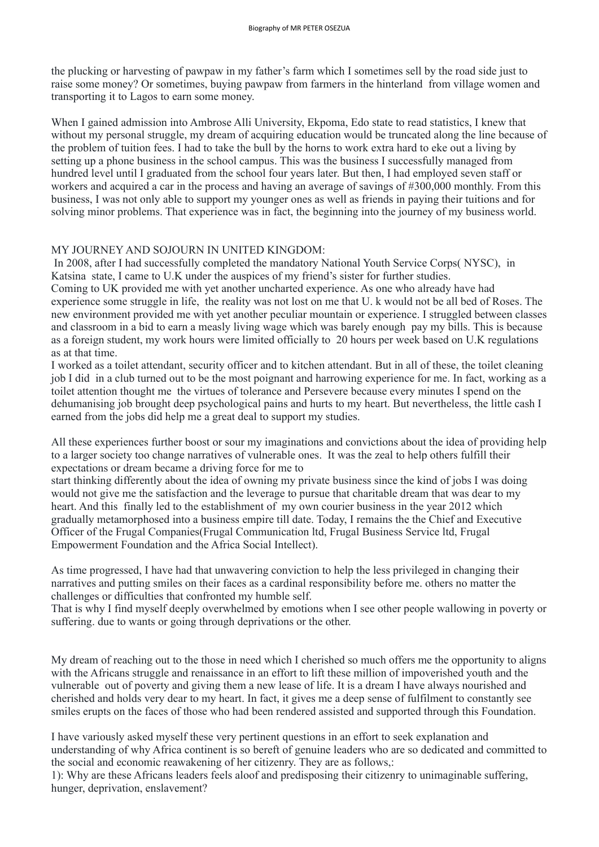the plucking or harvesting of pawpaw in my father's farm which I sometimes sell by the road side just to raise some money? Or sometimes, buying pawpaw from farmers in the hinterland from village women and transporting it to Lagos to earn some money.

When I gained admission into Ambrose Alli University, Ekpoma, Edo state to read statistics, I knew that without my personal struggle, my dream of acquiring education would be truncated along the line because of the problem of tuition fees. I had to take the bull by the horns to work extra hard to eke out a living by setting up a phone business in the school campus. This was the business I successfully managed from hundred level until I graduated from the school four years later. But then, I had employed seven staff or workers and acquired a car in the process and having an average of savings of #300,000 monthly. From this business, I was not only able to support my younger ones as well as friends in paying their tuitions and for solving minor problems. That experience was in fact, the beginning into the journey of my business world.

### MY JOURNEY AND SOJOURN IN UNITED KINGDOM:

 In 2008, after I had successfully completed the mandatory National Youth Service Corps( NYSC), in Katsina state, I came to U.K under the auspices of my friend's sister for further studies. Coming to UK provided me with yet another uncharted experience. As one who already have had experience some struggle in life, the reality was not lost on me that U. k would not be all bed of Roses. The new environment provided me with yet another peculiar mountain or experience. I struggled between classes and classroom in a bid to earn a measly living wage which was barely enough pay my bills. This is because as a foreign student, my work hours were limited officially to 20 hours per week based on U.K regulations as at that time.

I worked as a toilet attendant, security officer and to kitchen attendant. But in all of these, the toilet cleaning job I did in a club turned out to be the most poignant and harrowing experience for me. In fact, working as a toilet attention thought me the virtues of tolerance and Persevere because every minutes I spend on the dehumanising job brought deep psychological pains and hurts to my heart. But nevertheless, the little cash I earned from the jobs did help me a great deal to support my studies.

All these experiences further boost or sour my imaginations and convictions about the idea of providing help to a larger society too change narratives of vulnerable ones. It was the zeal to help others fulfill their expectations or dream became a driving force for me to

start thinking differently about the idea of owning my private business since the kind of jobs I was doing would not give me the satisfaction and the leverage to pursue that charitable dream that was dear to my heart. And this finally led to the establishment of my own courier business in the year 2012 which gradually metamorphosed into a business empire till date. Today, I remains the the Chief and Executive Officer of the Frugal Companies(Frugal Communication ltd, Frugal Business Service ltd, Frugal Empowerment Foundation and the Africa Social Intellect).

As time progressed, I have had that unwavering conviction to help the less privileged in changing their narratives and putting smiles on their faces as a cardinal responsibility before me. others no matter the challenges or difficulties that confronted my humble self.

That is why I find myself deeply overwhelmed by emotions when I see other people wallowing in poverty or suffering. due to wants or going through deprivations or the other.

My dream of reaching out to the those in need which I cherished so much offers me the opportunity to aligns with the Africans struggle and renaissance in an effort to lift these million of impoverished youth and the vulnerable out of poverty and giving them a new lease of life. It is a dream I have always nourished and cherished and holds very dear to my heart. In fact, it gives me a deep sense of fulfilment to constantly see smiles erupts on the faces of those who had been rendered assisted and supported through this Foundation.

I have variously asked myself these very pertinent questions in an effort to seek explanation and understanding of why Africa continent is so bereft of genuine leaders who are so dedicated and committed to the social and economic reawakening of her citizenry. They are as follows,: 1): Why are these Africans leaders feels aloof and predisposing their citizenry to unimaginable suffering, hunger, deprivation, enslavement?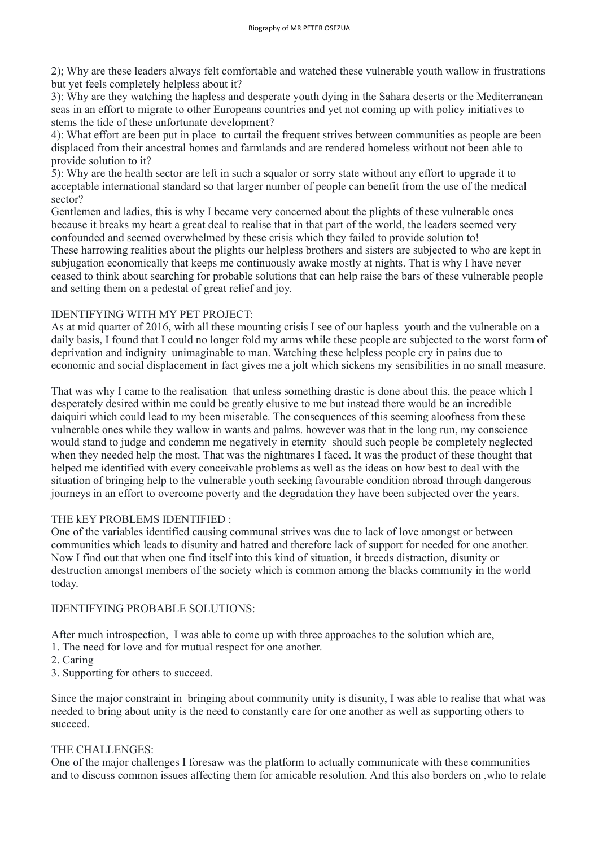2); Why are these leaders always felt comfortable and watched these vulnerable youth wallow in frustrations but yet feels completely helpless about it?

3): Why are they watching the hapless and desperate youth dying in the Sahara deserts or the Mediterranean seas in an effort to migrate to other Europeans countries and yet not coming up with policy initiatives to stems the tide of these unfortunate development?

4): What effort are been put in place to curtail the frequent strives between communities as people are been displaced from their ancestral homes and farmlands and are rendered homeless without not been able to provide solution to it?

5): Why are the health sector are left in such a squalor or sorry state without any effort to upgrade it to acceptable international standard so that larger number of people can benefit from the use of the medical sector?

Gentlemen and ladies, this is why I became very concerned about the plights of these vulnerable ones because it breaks my heart a great deal to realise that in that part of the world, the leaders seemed very confounded and seemed overwhelmed by these crisis which they failed to provide solution to! These harrowing realities about the plights our helpless brothers and sisters are subjected to who are kept in subjugation economically that keeps me continuously awake mostly at nights. That is why I have never ceased to think about searching for probable solutions that can help raise the bars of these vulnerable people

and setting them on a pedestal of great relief and joy.

# IDENTIFYING WITH MY PET PROJECT:

As at mid quarter of 2016, with all these mounting crisis I see of our hapless youth and the vulnerable on a daily basis, I found that I could no longer fold my arms while these people are subjected to the worst form of deprivation and indignity unimaginable to man. Watching these helpless people cry in pains due to economic and social displacement in fact gives me a jolt which sickens my sensibilities in no small measure.

That was why I came to the realisation that unless something drastic is done about this, the peace which I desperately desired within me could be greatly elusive to me but instead there would be an incredible daiquiri which could lead to my been miserable. The consequences of this seeming aloofness from these vulnerable ones while they wallow in wants and palms. however was that in the long run, my conscience would stand to judge and condemn me negatively in eternity should such people be completely neglected when they needed help the most. That was the nightmares I faced. It was the product of these thought that helped me identified with every conceivable problems as well as the ideas on how best to deal with the situation of bringing help to the vulnerable youth seeking favourable condition abroad through dangerous journeys in an effort to overcome poverty and the degradation they have been subjected over the years.

# THE kEY PROBLEMS IDENTIFIED :

One of the variables identified causing communal strives was due to lack of love amongst or between communities which leads to disunity and hatred and therefore lack of support for needed for one another. Now I find out that when one find itself into this kind of situation, it breeds distraction, disunity or destruction amongst members of the society which is common among the blacks community in the world today.

# IDENTIFYING PROBABLE SOLUTIONS:

After much introspection, I was able to come up with three approaches to the solution which are, 1. The need for love and for mutual respect for one another.

2. Caring

3. Supporting for others to succeed.

Since the major constraint in bringing about community unity is disunity, I was able to realise that what was needed to bring about unity is the need to constantly care for one another as well as supporting others to succeed.

#### THE CHALLENGES:

One of the major challenges I foresaw was the platform to actually communicate with these communities and to discuss common issues affecting them for amicable resolution. And this also borders on ,who to relate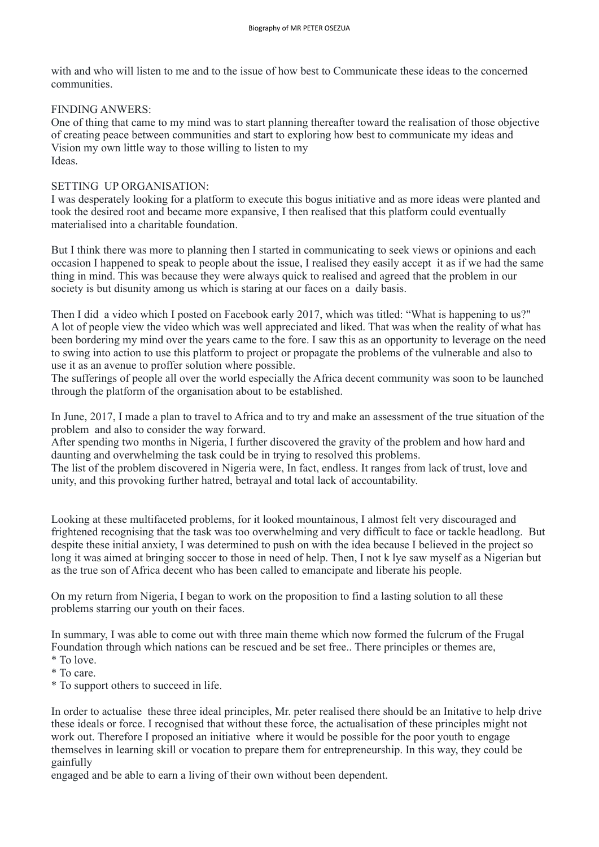with and who will listen to me and to the issue of how best to Communicate these ideas to the concerned communities.

### FINDING ANWERS:

One of thing that came to my mind was to start planning thereafter toward the realisation of those objective of creating peace between communities and start to exploring how best to communicate my ideas and Vision my own little way to those willing to listen to my Ideas.

### SETTING UP ORGANISATION:

But I think there was more to planning then I started in communicating to seek views or opinions and each occasion I happened to speak to people about the issue, I realised they easily accept it as if we had the same thing in mind. This was because they were always quick to realised and agreed that the problem in our society is but disunity among us which is staring at our faces on a daily basis.

I was desperately looking for a platform to execute this bogus initiative and as more ideas were planted and took the desired root and became more expansive, I then realised that this platform could eventually materialised into a charitable foundation.

Then I did a video which I posted on Facebook early 2017, which was titled: "What is happening to us?" A lot of people view the video which was well appreciated and liked. That was when the reality of what has been bordering my mind over the years came to the fore. I saw this as an opportunity to leverage on the need to swing into action to use this platform to project or propagate the problems of the vulnerable and also to use it as an avenue to proffer solution where possible.

The sufferings of people all over the world especially the Africa decent community was soon to be launched through the platform of the organisation about to be established.

In June, 2017, I made a plan to travel to Africa and to try and make an assessment of the true situation of the problem and also to consider the way forward.

After spending two months in Nigeria, I further discovered the gravity of the problem and how hard and daunting and overwhelming the task could be in trying to resolved this problems.

The list of the problem discovered in Nigeria were, In fact, endless. It ranges from lack of trust, love and unity, and this provoking further hatred, betrayal and total lack of accountability.

Looking at these multifaceted problems, for it looked mountainous, I almost felt very discouraged and frightened recognising that the task was too overwhelming and very difficult to face or tackle headlong. But despite these initial anxiety, I was determined to push on with the idea because I believed in the project so long it was aimed at bringing soccer to those in need of help. Then, I not k lye saw myself as a Nigerian but as the true son of Africa decent who has been called to emancipate and liberate his people.

On my return from Nigeria, I began to work on the proposition to find a lasting solution to all these problems starring our youth on their faces.

In summary, I was able to come out with three main theme which now formed the fulcrum of the Frugal Foundation through which nations can be rescued and be set free.. There principles or themes are, \* To love.

\* To care.

\* To support others to succeed in life.

In order to actualise these three ideal principles, Mr. peter realised there should be an Initative to help drive these ideals or force. I recognised that without these force, the actualisation of these principles might not work out. Therefore I proposed an initiative where it would be possible for the poor youth to engage themselves in learning skill or vocation to prepare them for entrepreneurship. In this way, they could be gainfully

engaged and be able to earn a living of their own without been dependent.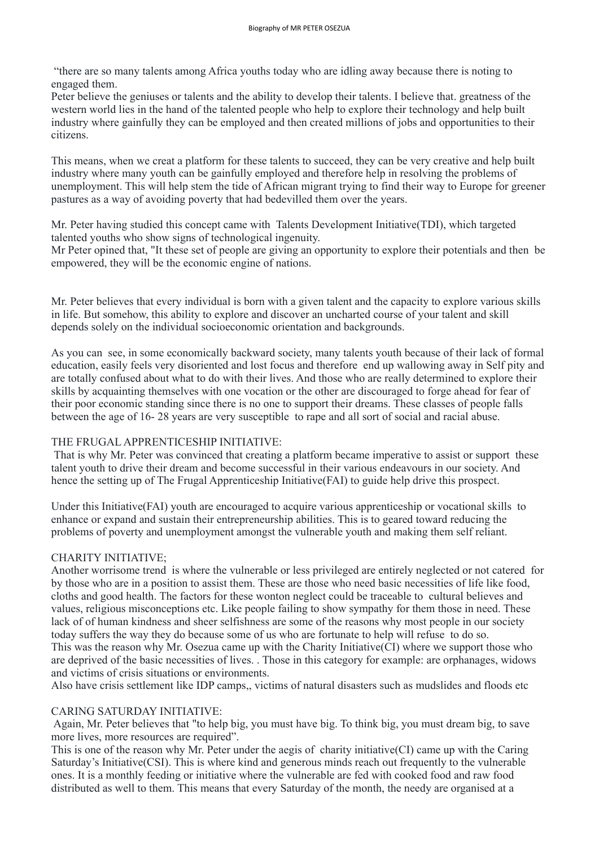"there are so many talents among Africa youths today who are idling away because there is noting to engaged them.

Peter believe the geniuses or talents and the ability to develop their talents. I believe that. greatness of the western world lies in the hand of the talented people who help to explore their technology and help built industry where gainfully they can be employed and then created millions of jobs and opportunities to their citizens.

This means, when we creat a platform for these talents to succeed, they can be very creative and help built industry where many youth can be gainfully employed and therefore help in resolving the problems of unemployment. This will help stem the tide of African migrant trying to find their way to Europe for greener pastures as a way of avoiding poverty that had bedevilled them over the years.

Mr. Peter having studied this concept came with Talents Development Initiative(TDI), which targeted talented youths who show signs of technological ingenuity.

Mr Peter opined that, "It these set of people are giving an opportunity to explore their potentials and then be empowered, they will be the economic engine of nations.

Mr. Peter believes that every individual is born with a given talent and the capacity to explore various skills in life. But somehow, this ability to explore and discover an uncharted course of your talent and skill depends solely on the individual socioeconomic orientation and backgrounds.

As you can see, in some economically backward society, many talents youth because of their lack of formal education, easily feels very disoriented and lost focus and therefore end up wallowing away in Self pity and are totally confused about what to do with their lives. And those who are really determined to explore their skills by acquainting themselves with one vocation or the other are discouraged to forge ahead for fear of their poor economic standing since there is no one to support their dreams. These classes of people falls between the age of 16- 28 years are very susceptible to rape and all sort of social and racial abuse.

# THE FRUGAL APPRENTICESHIP INITIATIVE:

 That is why Mr. Peter was convinced that creating a platform became imperative to assist or support these talent youth to drive their dream and become successful in their various endeavours in our society. And hence the setting up of The Frugal Apprenticeship Initiative(FAI) to guide help drive this prospect.

Under this Initiative(FAI) youth are encouraged to acquire various apprenticeship or vocational skills to enhance or expand and sustain their entrepreneurship abilities. This is to geared toward reducing the problems of poverty and unemployment amongst the vulnerable youth and making them self reliant.

# CHARITY INITIATIVE;

Another worrisome trend is where the vulnerable or less privileged are entirely neglected or not catered for by those who are in a position to assist them. These are those who need basic necessities of life like food, cloths and good health. The factors for these wonton neglect could be traceable to cultural believes and values, religious misconceptions etc. Like people failing to show sympathy for them those in need. These lack of of human kindness and sheer selfishness are some of the reasons why most people in our society today suffers the way they do because some of us who are fortunate to help will refuse to do so. This was the reason why Mr. Osezua came up with the Charity Initiative(CI) where we support those who are deprived of the basic necessities of lives. . Those in this category for example: are orphanages, widows and victims of crisis situations or environments.

Also have crisis settlement like IDP camps,, victims of natural disasters such as mudslides and floods etc

#### CARING SATURDAY INITIATIVE:

 Again, Mr. Peter believes that "to help big, you must have big. To think big, you must dream big, to save more lives, more resources are required".

This is one of the reason why Mr. Peter under the aegis of charity initiative(CI) came up with the Caring Saturday's Initiative(CSI). This is where kind and generous minds reach out frequently to the vulnerable ones. It is a monthly feeding or initiative where the vulnerable are fed with cooked food and raw food distributed as well to them. This means that every Saturday of the month, the needy are organised at a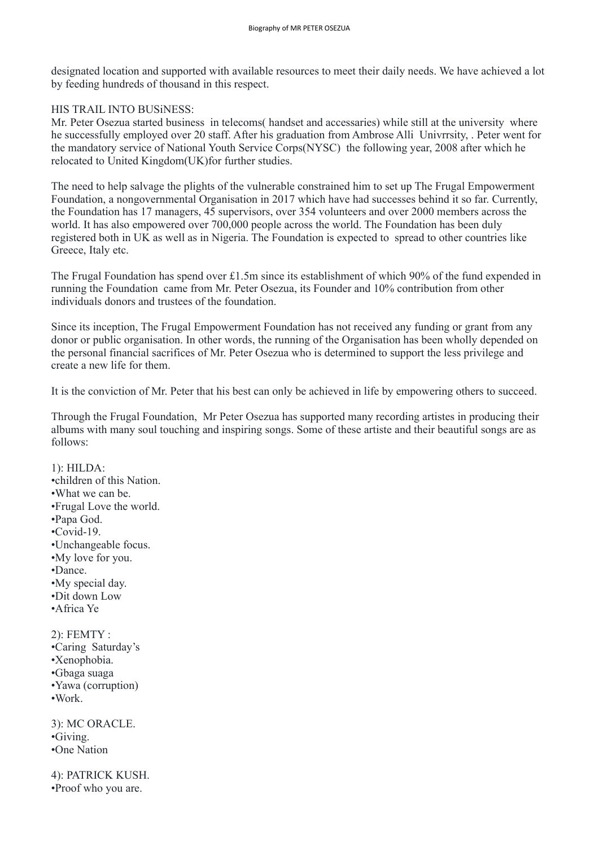designated location and supported with available resources to meet their daily needs. We have achieved a lot by feeding hundreds of thousand in this respect.

### HIS TRAIL INTO BUSiNESS:

Mr. Peter Osezua started business in telecoms( handset and accessaries) while still at the university where he successfully employed over 20 staff. After his graduation from Ambrose Alli Univrrsity, . Peter went for the mandatory service of National Youth Service Corps(NYSC) the following year, 2008 after which he relocated to United Kingdom(UK)for further studies.

The need to help salvage the plights of the vulnerable constrained him to set up The Frugal Empowerment Foundation, a nongovernmental Organisation in 2017 which have had successes behind it so far. Currently, the Foundation has 17 managers, 45 supervisors, over 354 volunteers and over 2000 members across the world. It has also empowered over 700,000 people across the world. The Foundation has been duly registered both in UK as well as in Nigeria. The Foundation is expected to spread to other countries like Greece, Italy etc.

The Frugal Foundation has spend over £1.5m since its establishment of which 90% of the fund expended in running the Foundation came from Mr. Peter Osezua, its Founder and 10% contribution from other individuals donors and trustees of the foundation.

Since its inception, The Frugal Empowerment Foundation has not received any funding or grant from any donor or public organisation. In other words, the running of the Organisation has been wholly depended on the personal financial sacrifices of Mr. Peter Osezua who is determined to support the less privilege and create a new life for them.

It is the conviction of Mr. Peter that his best can only be achieved in life by empowering others to succeed.

Through the Frugal Foundation, Mr Peter Osezua has supported many recording artistes in producing their albums with many soul touching and inspiring songs. Some of these artiste and their beautiful songs are as follows:

### 1): HILDA:

- •children of this Nation.
- •What we can be.
- •Frugal Love the world.
- •Papa God.
- •Covid-19.
- •Unchangeable focus.
- •My love for you.
- •Dance.
- •My special day.
- •Dit down Low
- •Africa Ye

2): FEMTY :

•Caring Saturday's

- •Xenophobia.
- •Gbaga suaga
- •Yawa (corruption)
- •Work.

3): MC ORACLE. •Giving. •One Nation

4): PATRICK KUSH. •Proof who you are.